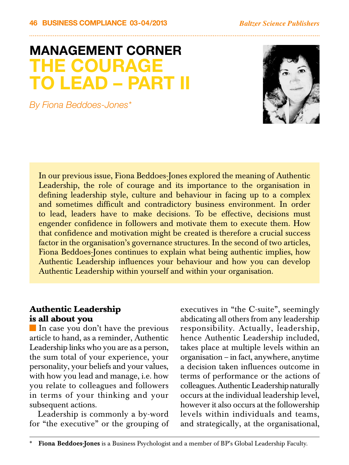# **MANAGEMENT CORNER THE COURAGE TO LEAD – PART II**

*By Fiona Beddoes-Jones\**



In our previous issue, Fiona Beddoes-Jones explored the meaning of Authentic Leadership, the role of courage and its importance to the organisation in defining leadership style, culture and behaviour in facing up to a complex and sometimes difficult and contradictory business environment. In order to lead, leaders have to make decisions. To be effective, decisions must engender confidence in followers and motivate them to execute them. How that confidence and motivation might be created is therefore a crucial success factor in the organisation's governance structures. In the second of two articles, Fiona Beddoes-Jones continues to explain what being authentic implies, how Authentic Leadership influences your behaviour and how you can develop Authentic Leadership within yourself and within your organisation.

# **Authentic Leadership is all about you**

In case you don't have the previous article to hand, as a reminder, Authentic Leadership links who you are as a person, the sum total of your experience, your personality, your beliefs and your values, with how you lead and manage, i.e. how you relate to colleagues and followers in terms of your thinking and your subsequent actions.

Leadership is commonly a by-word for "the executive" or the grouping of

executives in "the C-suite", seemingly abdicating all others from any leadership responsibility. Actually, leadership, hence Authentic Leadership included, takes place at multiple levels within an organisation – in fact, anywhere, anytime a decision taken influences outcome in terms of performance or the actions of colleagues. Authentic Leadership naturally occurs at the individual leadership level, however it also occurs at the followership levels within individuals and teams, and strategically, at the organisational,

Fiona Beddoes-Jones is a Business Psychologist and a member of BP's Global Leadership Faculty.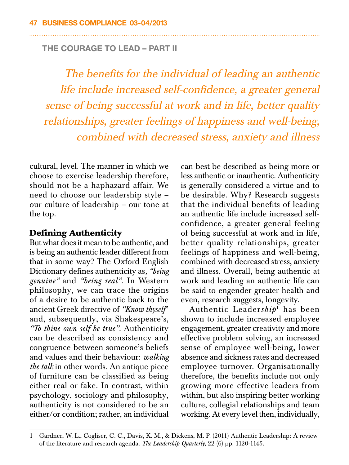The benefits for the individual of leading an authentic life include increased self-confidence, a greater general sense of being successful at work and in life, better quality relationships, greater feelings of happiness and well-being, combined with decreased stress, anxiety and illness

cultural, level. The manner in which we choose to exercise leadership therefore, should not be a haphazard affair. We need to choose our leadership style – our culture of leadership – our tone at the top.

## **Defining Authenticity**

But what does it mean to be authentic, and is being an authentic leader different from that in some way? The Oxford English Dictionary defines authenticity as*, "being genuine"* and *"being real"*. In Western philosophy, we can trace the origins of a desire to be authentic back to the ancient Greek directive of *"Know thyself*" and, subsequently, via Shakespeare's, *"To thine own self be true".* Authenticity can be described as consistency and congruence between someone's beliefs and values and their behaviour: *walking the talk* in other words*.* An antique piece of furniture can be classified as being either real or fake. In contrast, within psychology, sociology and philosophy, authenticity is not considered to be an either/or condition; rather, an individual

can best be described as being more or less authentic or inauthentic. Authenticity is generally considered a virtue and to be desirable. Why? Research suggests that the individual benefits of leading an authentic life include increased selfconfidence, a greater general feeling of being successful at work and in life, better quality relationships, greater feelings of happiness and well-being, combined with decreased stress, anxiety and illness. Overall, being authentic at work and leading an authentic life can be said to engender greater health and even, research suggests, longevity.

Authentic Leadership<sup>1</sup> has been shown to include increased employee engagement, greater creativity and more effective problem solving, an increased sense of employee well-being, lower absence and sickness rates and decreased employee turnover. Organisationally therefore, the benefits include not only growing more effective leaders from within, but also inspiring better working culture, collegial relationships and team working. At every level then, individually,

<sup>1</sup> Gardner, W. L., Cogliser, C. C., Davis, K. M., & Dickens, M. P. (2011) Authentic Leadership: A review of the literature and research agenda. *The Leadership Quarterly,* 22 (6) pp. 1120-1145.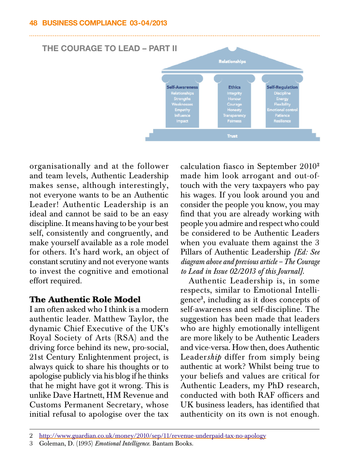

organisationally and at the follower and team levels, Authentic Leadership makes sense, although interestingly, not everyone wants to be an Authentic Leader! Authentic Leadership is an ideal and cannot be said to be an easy discipline. It means having to be your best self, consistently and congruently, and make yourself available as a role model for others. It's hard work, an object of constant scrutiny and not everyone wants to invest the cognitive and emotional effort required.

## **The Authentic Role Model**

I am often asked who I think is a modern authentic leader. Matthew Taylor, the dynamic Chief Executive of the UK's Royal Society of Arts (RSA) and the driving force behind its new, pro-social, 21st Century Enlightenment project, is always quick to share his thoughts or to apologise publicly via his blog if he thinks that he might have got it wrong. This is unlike Dave Hartnett, HM Revenue and Customs Permanent Secretary, whose initial refusal to apologise over the tax calculation fiasco in September 2010<sup>2</sup> made him look arrogant and out-oftouch with the very taxpayers who pay his wages. If you look around you and consider the people you know, you may find that you are already working with people you admire and respect who could be considered to be Authentic Leaders when you evaluate them against the 3 Pillars of Authentic Leadership *[Ed: See diagram above and previous article – The Courage to Lead in Issue 02/2013 of this Journal]*.

Authentic Leadership is, in some respects, similar to Emotional Intelligence<sup>3</sup> , including as it does concepts of self-awareness and self-discipline. The suggestion has been made that leaders who are highly emotionally intelligent are more likely to be Authentic Leaders and vice-versa. How then, does Authentic Leader*ship* differ from simply being authentic at work? Whilst being true to your beliefs and values are critical for Authentic Leaders, my PhD research, conducted with both RAF officers and UK business leaders, has identified that authenticity on its own is not enough.

<sup>2</sup> <http://www.guardian.co.uk/money/2010/sep/11/revenue>-underpaid-tax-no-apology

<sup>3</sup> Goleman, D. (1995) *Emotional Intelligence*. Bantam Books.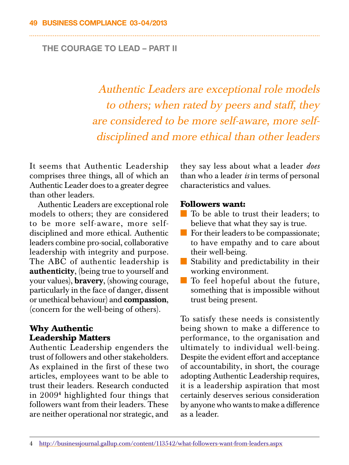Authentic Leaders are exceptional role models to others; when rated by peers and staff, they are considered to be more self-aware, more selfdisciplined and more ethical than other leaders

It seems that Authentic Leadership comprises three things, all of which an Authentic Leader does to a greater degree than other leaders.

Authentic Leaders are exceptional role models to others; they are considered to be more self-aware, more selfdisciplined and more ethical. Authentic leaders combine pro-social, collaborative leadership with integrity and purpose. The ABC of authentic leadership is **authenticity**, (being true to yourself and your values), bravery, (showing courage, particularly in the face of danger, dissent or unethical behaviour) and compassion, (concern for the well-being of others).

## **Why Authentic Leadership Matters**

Authentic Leadership engenders the trust of followers and other stakeholders. As explained in the first of these two articles, employees want to be able to trust their leaders. Research conducted in 2009<sup>4</sup> highlighted four things that followers want from their leaders. These are neither operational nor strategic, and

they say less about what a leader *does*  than who a leader *is* in terms of personal characteristics and values.

#### **Followers want:**

- To be able to trust their leaders; to believe that what they say is true.
- For their leaders to be compassionate; to have empathy and to care about their well-being.
- **Stability and predictability in their** working environment.
- $\blacksquare$  To feel hopeful about the future, something that is impossible without trust being present.

To satisfy these needs is consistently being shown to make a difference to performance, to the organisation and ultimately to individual well-being. Despite the evident effort and acceptance of accountability, in short, the courage adopting Authentic Leadership requires, it is a leadership aspiration that most certainly deserves serious consideration by anyone who wants to make a difference as a leader.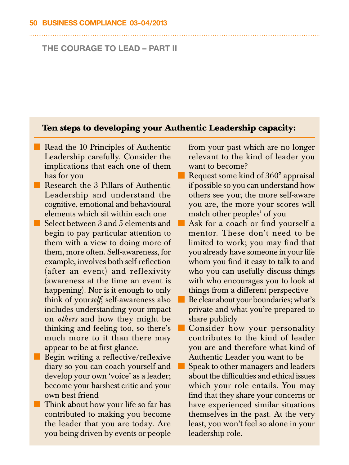#### **Ten steps to developing your Authentic Leadership capacity:**

- Read the 10 Principles of Authentic Leadership carefully. Consider the implications that each one of them has for you
- Research the 3 Pillars of Authentic Leadership and understand the cognitive, emotional and behavioural elements which sit within each one
- Select between 3 and 5 elements and begin to pay particular attention to them with a view to doing more of them, more often. Self-awareness, for example, involves both self-reflection (after an event) and reflexivity (awareness at the time an event is happening). Nor is it enough to only think of your*self*; self-awareness also includes understanding your impact on *others* and how they might be thinking and feeling too, so there's much more to it than there may appear to be at first glance.
- Begin writing a reflective/reflexive diary so you can coach yourself and develop your own 'voice' as a leader; become your harshest critic and your own best friend
	- Think about how your life so far has contributed to making you become the leader that you are today. Are you being driven by events or people

from your past which are no longer relevant to the kind of leader you want to become?

- Request some kind of 360° appraisal if possible so you can understand how others see you; the more self-aware you are, the more your scores will match other peoples' of you
- Ask for a coach or find yourself a mentor. These don't need to be limited to work; you may find that you already have someone in your life whom you find it easy to talk to and who you can usefully discuss things with who encourages you to look at things from a different perspective
- Be clear about your boundaries; what's private and what you're prepared to share publicly
- Consider how your personality contributes to the kind of leader you are and therefore what kind of Authentic Leader you want to be
- Speak to other managers and leaders about the difficulties and ethical issues which your role entails. You may find that they share your concerns or have experienced similar situations themselves in the past. At the very least, you won't feel so alone in your leadership role.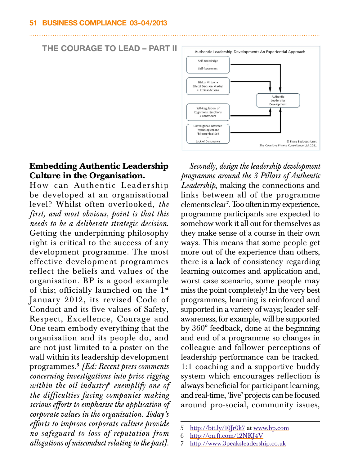## **Embedding Authentic Leadership Culture in the Organisation.**

How can Authentic Leadership be developed at an organisational level? Whilst often overlooked, *the first, and most obvious, point is that this needs to be a deliberate strategic decision*. Getting the underpinning philosophy right is critical to the success of any development programme. The most effective development programmes reflect the beliefs and values of the organisation. BP is a good example of this; officially launched on the 1st January 2012, its revised Code of Conduct and its five values of Safety, Respect, Excellence, Courage and One team embody everything that the organisation and its people do, and are not just limited to a poster on the wall within its leadership development programmes.<sup>5</sup> *[Ed: Recent press comments concerning investigations into price rigging within the oil industry*<sup>6</sup>  *exemplify one of the difficulties facing companies making serious efforts to emphasise the application of corporate values in the organisation. Today's efforts to improve corporate culture provide no safeguard to loss of reputation from allegations of misconduct relating to the past].*



*Secondly, design the leadership development programme around the 3 Pillars of Authentic Leadership*, making the connections and links between all of the programme elements clear<sup>7</sup> . Too often in my experience, programme participants are expected to somehow work it all out for themselves as they make sense of a course in their own ways. This means that some people get more out of the experience than others, there is a lack of consistency regarding learning outcomes and application and, worst case scenario, some people may miss the point completely! In the very best programmes, learning is reinforced and supported in a variety of ways; leader selfawareness, for example, will be supported by 360° feedback, done at the beginning and end of a programme so changes in colleague and follower perceptions of leadership performance can be tracked. 1:1 coaching and a supportive buddy system which encourages reflection is always beneficial for participant learning, and real-time, 'live' projects can be focused around pro-social, community issues,

<sup>5</sup> <http://bit.ly/10Jr0k7> at [www.bp.com](http://www.bp.com)

<sup>6</sup> <http://on.ft.com/12NKJ4V>

<sup>7</sup> <http://www.3peaksleadership.co.uk>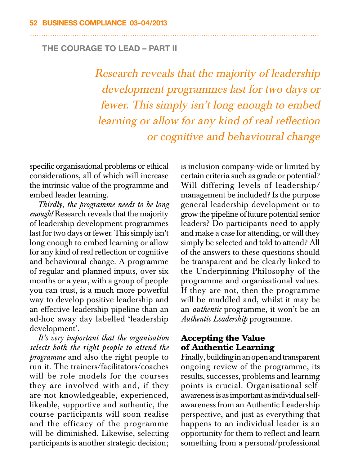Research reveals that the majority of leadership development programmes last for two days or fewer. This simply isn't long enough to embed learning or allow for any kind of real reflection or cognitive and behavioural change

specific organisational problems or ethical considerations, all of which will increase the intrinsic value of the programme and embed leader learning.

*Thirdly, the programme needs to be long enough!* Research reveals that the majority of leadership development programmes last for two days or fewer. This simply isn't long enough to embed learning or allow for any kind of real reflection or cognitive and behavioural change. A programme of regular and planned inputs, over six months or a year, with a group of people you can trust, is a much more powerful way to develop positive leadership and an effective leadership pipeline than an ad-hoc away day labelled 'leadership development'.

*It's very important that the organisation selects both the right people to attend the programme* and also the right people to run it. The trainers/facilitators/coaches will be role models for the courses they are involved with and, if they are not knowledgeable, experienced, likeable, supportive and authentic, the course participants will soon realise and the efficacy of the programme will be diminished. Likewise, selecting participants is another strategic decision;

is inclusion company-wide or limited by certain criteria such as grade or potential? Will differing levels of leadership/ management be included? Is the purpose general leadership development or to grow the pipeline of future potential senior leaders? Do participants need to apply and make a case for attending, or will they simply be selected and told to attend? All of the answers to these questions should be transparent and be clearly linked to the Underpinning Philosophy of the programme and organisational values. If they are not, then the programme will be muddled and, whilst it may be an *authentic* programme, it won't be an *Authentic Leadership* programme.

## **Accepting the Value of Authentic Learning**

Finally, building in an open and transparent ongoing review of the programme, its results, successes, problems and learning points is crucial. Organisational selfawareness is as important as individual selfawareness from an Authentic Leadership perspective, and just as everything that happens to an individual leader is an opportunity for them to reflect and learn something from a personal/professional